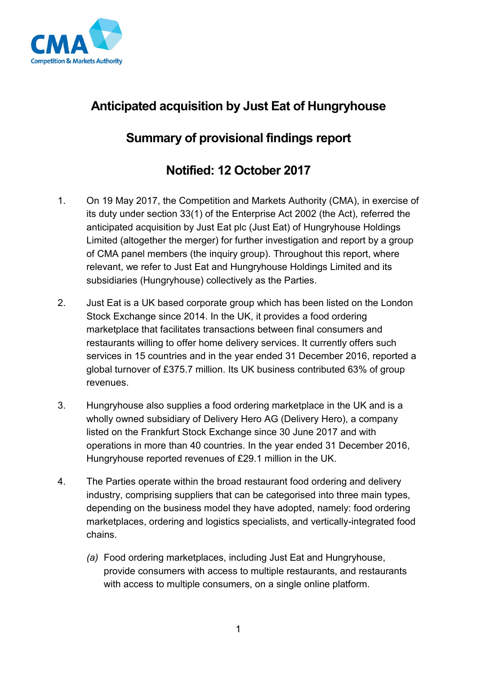

## **Anticipated acquisition by Just Eat of Hungryhouse**

## **Summary of provisional findings report**

## **Notified: 12 October 2017**

- 1. On 19 May 2017, the Competition and Markets Authority (CMA), in exercise of its duty under section 33(1) of the Enterprise Act 2002 (the Act), referred the anticipated acquisition by Just Eat plc (Just Eat) of Hungryhouse Holdings Limited (altogether the merger) for further investigation and report by a group of CMA panel members (the inquiry group). Throughout this report, where relevant, we refer to Just Eat and Hungryhouse Holdings Limited and its subsidiaries (Hungryhouse) collectively as the Parties.
- 2. Just Eat is a UK based corporate group which has been listed on the London Stock Exchange since 2014. In the UK, it provides a food ordering marketplace that facilitates transactions between final consumers and restaurants willing to offer home delivery services. It currently offers such services in 15 countries and in the year ended 31 December 2016, reported a global turnover of £375.7 million. Its UK business contributed 63% of group revenues.
- 3. Hungryhouse also supplies a food ordering marketplace in the UK and is a wholly owned subsidiary of Delivery Hero AG (Delivery Hero), a company listed on the Frankfurt Stock Exchange since 30 June 2017 and with operations in more than 40 countries. In the year ended 31 December 2016, Hungryhouse reported revenues of £29.1 million in the UK.
- 4. The Parties operate within the broad restaurant food ordering and delivery industry, comprising suppliers that can be categorised into three main types, depending on the business model they have adopted, namely: food ordering marketplaces, ordering and logistics specialists, and vertically-integrated food chains.
	- *(a)* Food ordering marketplaces, including Just Eat and Hungryhouse, provide consumers with access to multiple restaurants, and restaurants with access to multiple consumers, on a single online platform.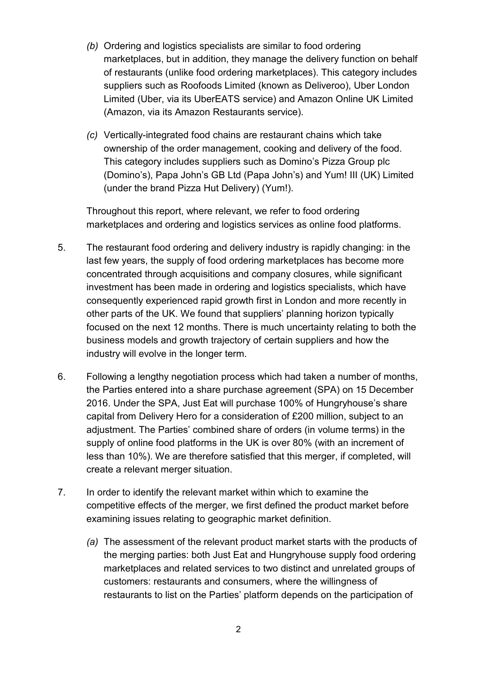- *(b)* Ordering and logistics specialists are similar to food ordering marketplaces, but in addition, they manage the delivery function on behalf of restaurants (unlike food ordering marketplaces). This category includes suppliers such as Roofoods Limited (known as Deliveroo), Uber London Limited (Uber, via its UberEATS service) and Amazon Online UK Limited (Amazon, via its Amazon Restaurants service).
- *(c)* Vertically-integrated food chains are restaurant chains which take ownership of the order management, cooking and delivery of the food. This category includes suppliers such as Domino's Pizza Group plc (Domino's), Papa John's GB Ltd (Papa John's) and Yum! III (UK) Limited (under the brand Pizza Hut Delivery) (Yum!).

Throughout this report, where relevant, we refer to food ordering marketplaces and ordering and logistics services as online food platforms.

- 5. The restaurant food ordering and delivery industry is rapidly changing: in the last few years, the supply of food ordering marketplaces has become more concentrated through acquisitions and company closures, while significant investment has been made in ordering and logistics specialists, which have consequently experienced rapid growth first in London and more recently in other parts of the UK. We found that suppliers' planning horizon typically focused on the next 12 months. There is much uncertainty relating to both the business models and growth trajectory of certain suppliers and how the industry will evolve in the longer term.
- 6. Following a lengthy negotiation process which had taken a number of months, the Parties entered into a share purchase agreement (SPA) on 15 December 2016. Under the SPA, Just Eat will purchase 100% of Hungryhouse's share capital from Delivery Hero for a consideration of £200 million, subject to an adjustment. The Parties' combined share of orders (in volume terms) in the supply of online food platforms in the UK is over 80% (with an increment of less than 10%). We are therefore satisfied that this merger, if completed, will create a relevant merger situation.
- 7. In order to identify the relevant market within which to examine the competitive effects of the merger, we first defined the product market before examining issues relating to geographic market definition.
	- *(a)* The assessment of the relevant product market starts with the products of the merging parties: both Just Eat and Hungryhouse supply food ordering marketplaces and related services to two distinct and unrelated groups of customers: restaurants and consumers, where the willingness of restaurants to list on the Parties' platform depends on the participation of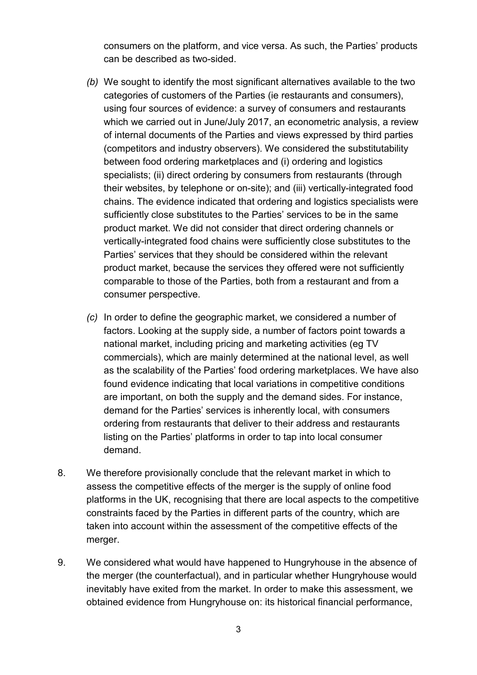consumers on the platform, and vice versa. As such, the Parties' products can be described as two-sided.

- *(b)* We sought to identify the most significant alternatives available to the two categories of customers of the Parties (ie restaurants and consumers), using four sources of evidence: a survey of consumers and restaurants which we carried out in June/July 2017, an econometric analysis, a review of internal documents of the Parties and views expressed by third parties (competitors and industry observers). We considered the substitutability between food ordering marketplaces and (i) ordering and logistics specialists; (ii) direct ordering by consumers from restaurants (through their websites, by telephone or on-site); and (iii) vertically-integrated food chains. The evidence indicated that ordering and logistics specialists were sufficiently close substitutes to the Parties' services to be in the same product market. We did not consider that direct ordering channels or vertically-integrated food chains were sufficiently close substitutes to the Parties' services that they should be considered within the relevant product market, because the services they offered were not sufficiently comparable to those of the Parties, both from a restaurant and from a consumer perspective.
- *(c)* In order to define the geographic market, we considered a number of factors. Looking at the supply side, a number of factors point towards a national market, including pricing and marketing activities (eg TV commercials), which are mainly determined at the national level, as well as the scalability of the Parties' food ordering marketplaces. We have also found evidence indicating that local variations in competitive conditions are important, on both the supply and the demand sides. For instance, demand for the Parties' services is inherently local, with consumers ordering from restaurants that deliver to their address and restaurants listing on the Parties' platforms in order to tap into local consumer demand.
- 8. We therefore provisionally conclude that the relevant market in which to assess the competitive effects of the merger is the supply of online food platforms in the UK, recognising that there are local aspects to the competitive constraints faced by the Parties in different parts of the country, which are taken into account within the assessment of the competitive effects of the merger.
- 9. We considered what would have happened to Hungryhouse in the absence of the merger (the counterfactual), and in particular whether Hungryhouse would inevitably have exited from the market. In order to make this assessment, we obtained evidence from Hungryhouse on: its historical financial performance,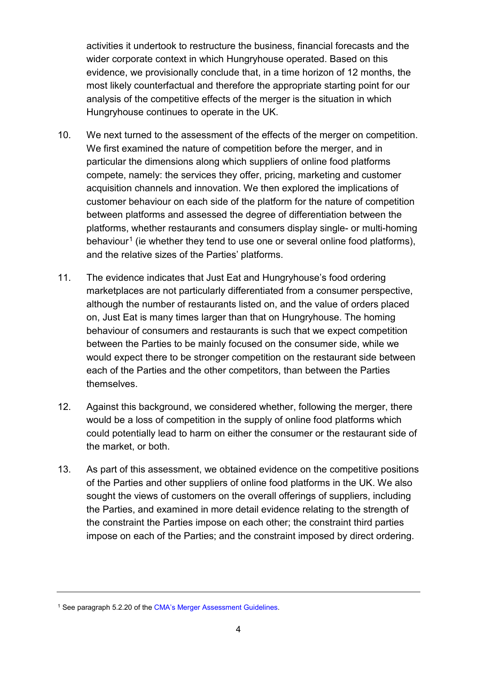activities it undertook to restructure the business, financial forecasts and the wider corporate context in which Hungryhouse operated. Based on this evidence, we provisionally conclude that, in a time horizon of 12 months, the most likely counterfactual and therefore the appropriate starting point for our analysis of the competitive effects of the merger is the situation in which Hungryhouse continues to operate in the UK.

- 10. We next turned to the assessment of the effects of the merger on competition. We first examined the nature of competition before the merger, and in particular the dimensions along which suppliers of online food platforms compete, namely: the services they offer, pricing, marketing and customer acquisition channels and innovation. We then explored the implications of customer behaviour on each side of the platform for the nature of competition between platforms and assessed the degree of differentiation between the platforms, whether restaurants and consumers display single- or multi-homing behaviour<sup>[1](#page-3-0)</sup> (ie whether they tend to use one or several online food platforms), and the relative sizes of the Parties' platforms.
- 11. The evidence indicates that Just Eat and Hungryhouse's food ordering marketplaces are not particularly differentiated from a consumer perspective, although the number of restaurants listed on, and the value of orders placed on, Just Eat is many times larger than that on Hungryhouse. The homing behaviour of consumers and restaurants is such that we expect competition between the Parties to be mainly focused on the consumer side, while we would expect there to be stronger competition on the restaurant side between each of the Parties and the other competitors, than between the Parties themselves.
- 12. Against this background, we considered whether, following the merger, there would be a loss of competition in the supply of online food platforms which could potentially lead to harm on either the consumer or the restaurant side of the market, or both.
- 13. As part of this assessment, we obtained evidence on the competitive positions of the Parties and other suppliers of online food platforms in the UK. We also sought the views of customers on the overall offerings of suppliers, including the Parties, and examined in more detail evidence relating to the strength of the constraint the Parties impose on each other; the constraint third parties impose on each of the Parties; and the constraint imposed by direct ordering.

<span id="page-3-0"></span><sup>&</sup>lt;sup>1</sup> See paragraph 5.2.20 of th[e CMA's Merger Assessment Guidelines.](https://www.gov.uk/government/publications/merger-assessment-guidelines)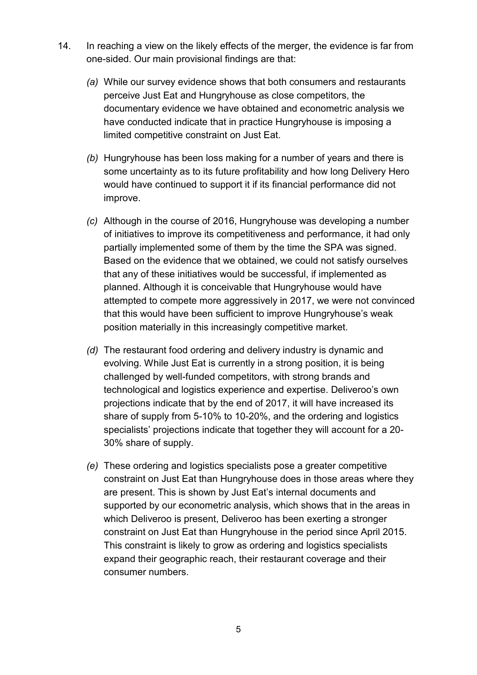- 14. In reaching a view on the likely effects of the merger, the evidence is far from one-sided. Our main provisional findings are that:
	- *(a)* While our survey evidence shows that both consumers and restaurants perceive Just Eat and Hungryhouse as close competitors, the documentary evidence we have obtained and econometric analysis we have conducted indicate that in practice Hungryhouse is imposing a limited competitive constraint on Just Eat.
	- *(b)* Hungryhouse has been loss making for a number of years and there is some uncertainty as to its future profitability and how long Delivery Hero would have continued to support it if its financial performance did not improve.
	- *(c)* Although in the course of 2016, Hungryhouse was developing a number of initiatives to improve its competitiveness and performance, it had only partially implemented some of them by the time the SPA was signed. Based on the evidence that we obtained, we could not satisfy ourselves that any of these initiatives would be successful, if implemented as planned. Although it is conceivable that Hungryhouse would have attempted to compete more aggressively in 2017, we were not convinced that this would have been sufficient to improve Hungryhouse's weak position materially in this increasingly competitive market.
	- *(d)* The restaurant food ordering and delivery industry is dynamic and evolving. While Just Eat is currently in a strong position, it is being challenged by well-funded competitors, with strong brands and technological and logistics experience and expertise. Deliveroo's own projections indicate that by the end of 2017, it will have increased its share of supply from 5-10% to 10-20%, and the ordering and logistics specialists' projections indicate that together they will account for a 20- 30% share of supply.
	- *(e)* These ordering and logistics specialists pose a greater competitive constraint on Just Eat than Hungryhouse does in those areas where they are present. This is shown by Just Eat's internal documents and supported by our econometric analysis, which shows that in the areas in which Deliveroo is present, Deliveroo has been exerting a stronger constraint on Just Eat than Hungryhouse in the period since April 2015. This constraint is likely to grow as ordering and logistics specialists expand their geographic reach, their restaurant coverage and their consumer numbers.